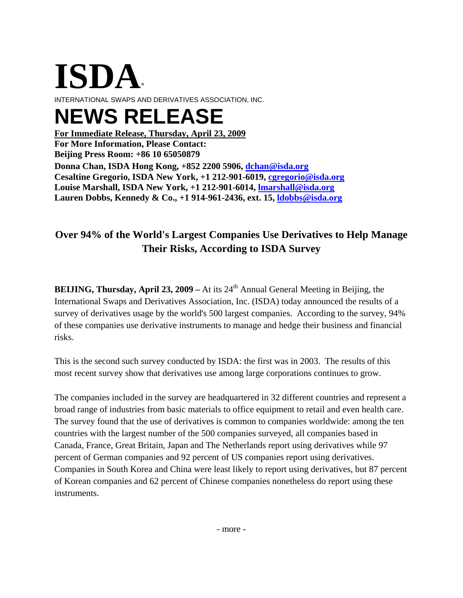# **ISDA**®

INTERNATIONAL SWAPS AND DERIVATIVES ASSOCIATION, INC.

# **NEWS RELEASE**

**Donna Chan, ISDA Hong Kong, +852 2200 5906, [dchan@isda.org](mailto:dchan@isda.org) For Immediate Release, Thursday, April 23, 2009 For More Information, Please Contact: Beijing Press Room: +86 10 65050879 Cesaltine Gregorio, ISDA New York, +1 212-901-6019, [cgregorio@isda.org](mailto:cgregorio@isda.org) Louise Marshall, ISDA New York, +1 212-901-6014, [lmarshall@isda.org](mailto:lmarshall@isda.org) Lauren Dobbs, Kennedy & Co., +1 914-961-2436, ext. 15, [ldobbs@isda.org](mailto:ldobbs@isda.org)**

## **Over 94% of the World's Largest Companies Use Derivatives to Help Manage Their Risks, According to ISDA Survey**

**BEIJING, Thursday, April 23, 2009** – At its 24<sup>th</sup> Annual General Meeting in Beijing, the International Swaps and Derivatives Association, Inc. (ISDA) today announced the results of a survey of derivatives usage by the world's 500 largest companies. According to the survey, 94% of these companies use derivative instruments to manage and hedge their business and financial risks.

This is the second such survey conducted by ISDA: the first was in 2003. The results of this most recent survey show that derivatives use among large corporations continues to grow.

The companies included in the survey are headquartered in 32 different countries and represent a broad range of industries from basic materials to office equipment to retail and even health care. The survey found that the use of derivatives is common to companies worldwide: among the ten countries with the largest number of the 500 companies surveyed, all companies based in Canada, France, Great Britain, Japan and The Netherlands report using derivatives while 97 percent of German companies and 92 percent of US companies report using derivatives. Companies in South Korea and China were least likely to report using derivatives, but 87 percent of Korean companies and 62 percent of Chinese companies nonetheless do report using these instruments.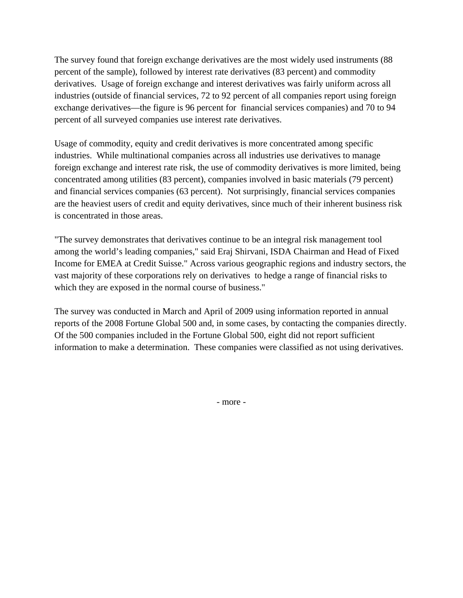The survey found that foreign exchange derivatives are the most widely used instruments (88 percent of the sample), followed by interest rate derivatives (83 percent) and commodity derivatives. Usage of foreign exchange and interest derivatives was fairly uniform across all industries (outside of financial services, 72 to 92 percent of all companies report using foreign exchange derivatives—the figure is 96 percent for financial services companies) and 70 to 94 percent of all surveyed companies use interest rate derivatives.

Usage of commodity, equity and credit derivatives is more concentrated among specific industries. While multinational companies across all industries use derivatives to manage foreign exchange and interest rate risk, the use of commodity derivatives is more limited, being concentrated among utilities (83 percent), companies involved in basic materials (79 percent) and financial services companies (63 percent). Not surprisingly, financial services companies are the heaviest users of credit and equity derivatives, since much of their inherent business risk is concentrated in those areas.

"The survey demonstrates that derivatives continue to be an integral risk management tool among the world's leading companies," said Eraj Shirvani, ISDA Chairman and Head of Fixed Income for EMEA at Credit Suisse." Across various geographic regions and industry sectors, the vast majority of these corporations rely on derivatives to hedge a range of financial risks to which they are exposed in the normal course of business."

The survey was conducted in March and April of 2009 using information reported in annual reports of the 2008 Fortune Global 500 and, in some cases, by contacting the companies directly. Of the 500 companies included in the Fortune Global 500, eight did not report sufficient information to make a determination. These companies were classified as not using derivatives.

- more -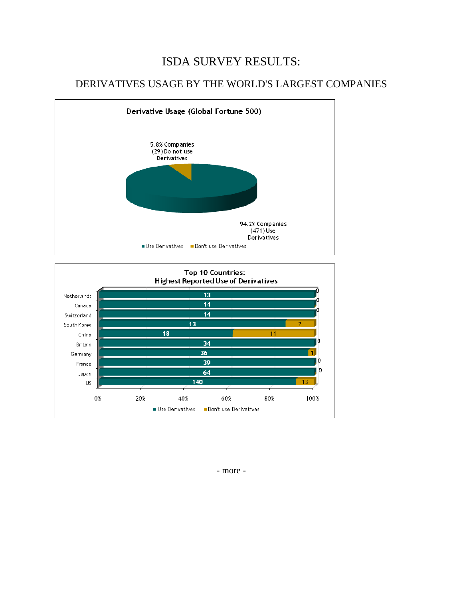### ISDA SURVEY RESULTS:

#### DERIVATIVES USAGE BY THE WORLD'S LARGEST COMPANIES